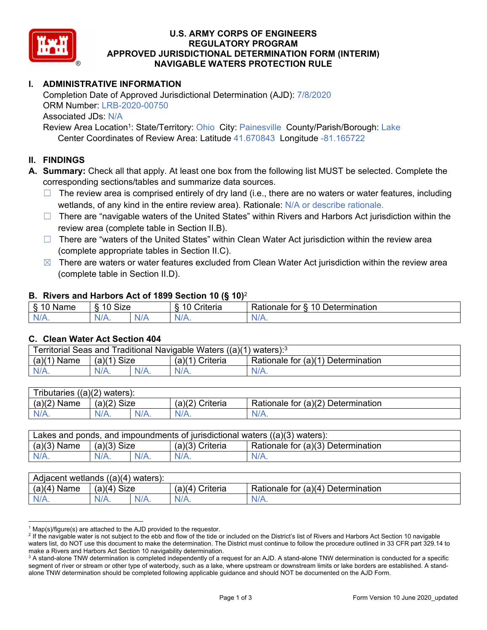

### **U.S. ARMY CORPS OF ENGINEERS REGULATORY PROGRAM APPROVED JURISDICTIONAL DETERMINATION FORM (INTERIM) NAVIGABLE WATERS PROTECTION RULE**

# **I. ADMINISTRATIVE INFORMATION**

Completion Date of Approved Jurisdictional Determination (AJD): 7/8/2020 ORM Number: LRB-2020-00750 Associated JDs: N/A

Review Area Location<sup>1</sup>: State/Territory: Ohio City: Painesville County/Parish/Borough: Lake Center Coordinates of Review Area: Latitude 41.670843 Longitude -81.165722

#### **II. FINDINGS**

**A. Summary:** Check all that apply. At least one box from the following list MUST be selected. Complete the corresponding sections/tables and summarize data sources.

- $\Box$  The review area is comprised entirely of dry land (i.e., there are no waters or water features, including wetlands, of any kind in the entire review area). Rationale: N/A or describe rationale.
- $\Box$  There are "navigable waters of the United States" within Rivers and Harbors Act jurisdiction within the review area (complete table in Section II.B).
- $\Box$  There are "waters of the United States" within Clean Water Act jurisdiction within the review area (complete appropriate tables in Section II.C).
- $\boxtimes$  There are waters or water features excluded from Clean Water Act jurisdiction within the review area (complete table in Section II.D).

#### **B. Rivers and Harbors Act of 1899 Section 10 (§ 10)**<sup>2</sup>

| $\cdot$                                           |                        |     |                                                          |                                                |  |  |  |  |
|---------------------------------------------------|------------------------|-----|----------------------------------------------------------|------------------------------------------------|--|--|--|--|
| $\mathbf{r}$<br>$\cdots$<br>ше<br>'Nar<br>ι.<br>ູ | Size<br>$\overline{A}$ |     | $\overline{A}$ $\overline{C}$<br>$"$ ritaria<br>ena<br>. | 10<br><b>Determination</b><br>⊀atıonale<br>tor |  |  |  |  |
| N/L<br>.                                          | 7 V<br>'V/A.           | N/A | N/t<br>17. TV                                            | 111<br>N<br>11 I N.                            |  |  |  |  |

#### **C. Clean Water Act Section 404**

| Territorial Seas and Traditional Navigable Waters $((a)(1)$ waters): <sup>3</sup> |                |  |                   |                                    |  |  |  |
|-----------------------------------------------------------------------------------|----------------|--|-------------------|------------------------------------|--|--|--|
| (a)(1)<br>Name                                                                    | Size<br>(a)(1) |  | $(a)(1)$ Criteria | Rationale for (a)(1) Determination |  |  |  |
|                                                                                   | $N/A$ .        |  | $N/A$ .           | $N/A$ .                            |  |  |  |

| Tributaries $((a)(2)$ waters): |               |  |                 |                                    |  |  |  |
|--------------------------------|---------------|--|-----------------|------------------------------------|--|--|--|
| $(a)(2)$ Name                  | $(a)(2)$ Size |  | (a)(2) Criteria | Rationale for (a)(2) Determination |  |  |  |
| $N/A$ .                        | $N/A$ .       |  | $N/A$ .         | $N/A$ .                            |  |  |  |

| Lakes and ponds, and impoundments of jurisdictional waters $((a)(3)$ waters): |               |  |                   |                                    |  |  |  |
|-------------------------------------------------------------------------------|---------------|--|-------------------|------------------------------------|--|--|--|
| $(a)(3)$ Name                                                                 | $(a)(3)$ Size |  | $(a)(3)$ Criteria | Rationale for (a)(3) Determination |  |  |  |
| $N/A$ .                                                                       | $N/A$ .       |  | $N/A$ .           | $N/A$ .                            |  |  |  |

| Adjacent wetlands<br>((a)(4)<br>waters). |                 |  |                   |                                    |  |  |  |  |
|------------------------------------------|-----------------|--|-------------------|------------------------------------|--|--|--|--|
| (a)(4)<br>Name                           | Size<br>(a)(4)  |  | (a)(4<br>Criteria | Rationale for (a)(4) Determination |  |  |  |  |
| N/A.                                     | $N/A$ .<br>N/A. |  | $N/A$ .           | $N/A$ .                            |  |  |  |  |

<sup>&</sup>lt;sup>1</sup> Map(s)/figure(s) are attached to the AJD provided to the requestor.<br><sup>2</sup> If the navigable water is not subject to the ebb and flow of the tide o

<sup>&</sup>lt;sup>2</sup> If the navigable water is not subject to the ebb and flow of the tide or included on the District's list of Rivers and Harbors Act Section 10 navigable waters list, do NOT use this document to make the determination. The District must continue to follow the procedure outlined in 33 CFR part 329.14 to make a Rivers and Harbors Act Section 10 navigability determination.

 $^3$  A stand-alone TNW determination is completed independently of a request for an AJD. A stand-alone TNW determination is conducted for a specific segment of river or stream or other type of waterbody, such as a lake, where upstream or downstream limits or lake borders are established. A standalone TNW determination should be completed following applicable guidance and should NOT be documented on the AJD Form.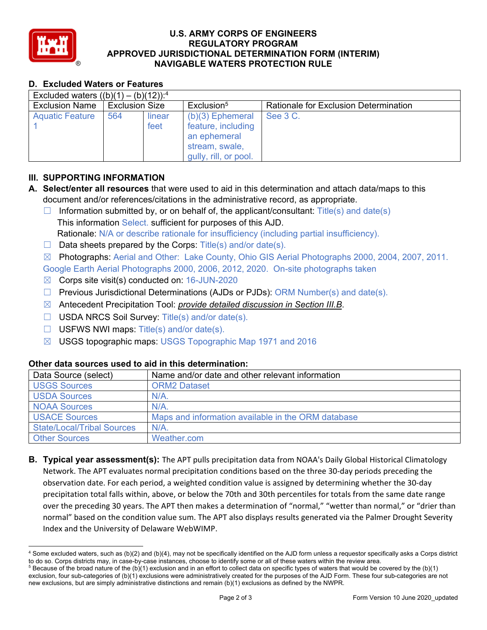

### **U.S. ARMY CORPS OF ENGINEERS REGULATORY PROGRAM APPROVED JURISDICTIONAL DETERMINATION FORM (INTERIM) NAVIGABLE WATERS PROTECTION RULE**

## **D. Excluded Waters or Features**

| Excluded waters $((b)(1) - (b)(12))$ : <sup>4</sup> |                       |                |                                                                                                     |                                       |  |  |  |  |  |
|-----------------------------------------------------|-----------------------|----------------|-----------------------------------------------------------------------------------------------------|---------------------------------------|--|--|--|--|--|
| <b>Exclusion Name</b>                               | <b>Exclusion Size</b> |                | Exclusion <sup>5</sup>                                                                              | Rationale for Exclusion Determination |  |  |  |  |  |
| <b>Aquatic Feature</b>                              | 564                   | linear<br>feet | $(b)(3)$ Ephemeral<br>feature, including<br>an ephemeral<br>stream, swale,<br>gully, rill, or pool. | See 3 C.                              |  |  |  |  |  |

## **III. SUPPORTING INFORMATION**

- **A. Select/enter all resources** that were used to aid in this determination and attach data/maps to this document and/or references/citations in the administrative record, as appropriate.
	- $\Box$  Information submitted by, or on behalf of, the applicant/consultant: Title(s) and date(s) This information Select. sufficient for purposes of this AJD. Rationale: N/A or describe rationale for insufficiency (including partial insufficiency).
	- $\Box$  Data sheets prepared by the Corps: Title(s) and/or date(s).
	- ☒ Photographs: Aerial and Other: Lake County, Ohio GIS Aerial Photographs 2000, 2004, 2007, 2011.

Google Earth Aerial Photographs 2000, 2006, 2012, 2020. On-site photographs taken

- $\boxtimes$  Corps site visit(s) conducted on: 16-JUN-2020
- $\Box$  Previous Jurisdictional Determinations (AJDs or PJDs): ORM Number(s) and date(s).
- ☒ Antecedent Precipitation Tool: *provide detailed discussion in Section III.B*.
- ☐ USDA NRCS Soil Survey: Title(s) and/or date(s).
- $\Box$  USFWS NWI maps: Title(s) and/or date(s).
- ☒ USGS topographic maps: USGS Topographic Map 1971 and 2016

### **Other data sources used to aid in this determination:**

| Data Source (select)              | Name and/or date and other relevant information    |
|-----------------------------------|----------------------------------------------------|
| <b>USGS Sources</b>               | <b>ORM2 Dataset</b>                                |
| <b>USDA Sources</b>               | N/A                                                |
| <b>NOAA Sources</b>               | N/A                                                |
| <b>USACE Sources</b>              | Maps and information available in the ORM database |
| <b>State/Local/Tribal Sources</b> | N/A                                                |
| <b>Other Sources</b>              | Weather.com                                        |

**B. Typical year assessment(s):** The APT pulls precipitation data from NOAA's Daily Global Historical Climatology Network. The APT evaluates normal precipitation conditions based on the three 30‐day periods preceding the observation date. For each period, a weighted condition value is assigned by determining whether the 30‐day precipitation total falls within, above, or below the 70th and 30th percentiles for totals from the same date range over the preceding 30 years. The APT then makes a determination of "normal," "wetter than normal," or "drier than normal" based on the condition value sum. The APT also displays results generated via the Palmer Drought Severity Index and the University of Delaware WebWIMP.

<sup>4</sup> Some excluded waters, such as (b)(2) and (b)(4), may not be specifically identified on the AJD form unless a requestor specifically asks a Corps district to do so. Corps districts may, in case-by-case instances, choose to identify some or all of these waters within the review area. 5 <sup>5</sup> Because of the broad nature of the (b)(1) exclusion and in an effort to collect data on specific types of waters that would be covered by the (b)(1)

exclusion, four sub-categories of (b)(1) exclusions were administratively created for the purposes of the AJD Form. These four sub-categories are not new exclusions, but are simply administrative distinctions and remain (b)(1) exclusions as defined by the NWPR.